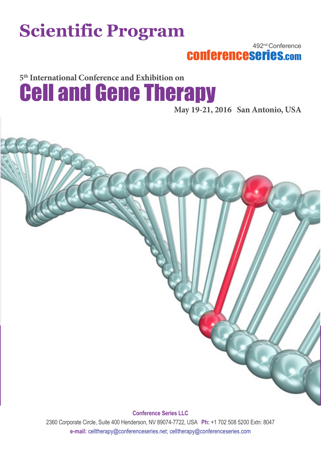## **Scientific Program**

492nd Conference conferenceseries.com

**5th International Conference and Exhibition on** Cell and Gene Therapy

**May 19-21, 2016 San Antonio, USA**



**Conference Series LLC**

2360 Corporate Circle, Suite 400 Henderson, NV 89074-7722, USA **Ph:** +1 702 508 5200 Extn: 8047 **e-mail:** celltherapy@conferenceseries.net; celltherapy@conferenceseries.com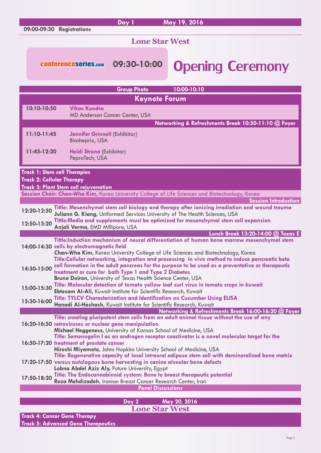|                                                                                                                                                                                                                                                                                                                                                                     |                      |                                                                                                                          | Day 1                                 | May 19, 2016                                                                                                                                                                                                                                                                     |  |  |
|---------------------------------------------------------------------------------------------------------------------------------------------------------------------------------------------------------------------------------------------------------------------------------------------------------------------------------------------------------------------|----------------------|--------------------------------------------------------------------------------------------------------------------------|---------------------------------------|----------------------------------------------------------------------------------------------------------------------------------------------------------------------------------------------------------------------------------------------------------------------------------|--|--|
|                                                                                                                                                                                                                                                                                                                                                                     |                      | 09:00-09:30 Registrations                                                                                                |                                       |                                                                                                                                                                                                                                                                                  |  |  |
|                                                                                                                                                                                                                                                                                                                                                                     |                      |                                                                                                                          | <b>Lone Star West</b>                 |                                                                                                                                                                                                                                                                                  |  |  |
|                                                                                                                                                                                                                                                                                                                                                                     |                      | <b>CONferenceseries.com</b>                                                                                              | 09:30-10:00                           | <b>Opening Ceremony</b>                                                                                                                                                                                                                                                          |  |  |
|                                                                                                                                                                                                                                                                                                                                                                     |                      |                                                                                                                          | <b>Group Photo</b>                    | 10:00-10:10                                                                                                                                                                                                                                                                      |  |  |
|                                                                                                                                                                                                                                                                                                                                                                     | <b>Keynote Forum</b> |                                                                                                                          |                                       |                                                                                                                                                                                                                                                                                  |  |  |
|                                                                                                                                                                                                                                                                                                                                                                     | 10:10-10:50          | <b>Vikas Kundra</b>                                                                                                      | <b>MD Anderson Cancer Center, USA</b> |                                                                                                                                                                                                                                                                                  |  |  |
|                                                                                                                                                                                                                                                                                                                                                                     | 11:10-11:45          | <b>Jennifer Grinnell (Exhibitor)</b><br>Biosheprix, USA                                                                  |                                       | Networking & Refreshments Break 10:50-11:10 @ Foyer                                                                                                                                                                                                                              |  |  |
|                                                                                                                                                                                                                                                                                                                                                                     | 11:45-12:20          | Heidi Strona (Exhibitor)<br>PeproTech, USA                                                                               |                                       |                                                                                                                                                                                                                                                                                  |  |  |
| <b>Track 1: Stem cell Therapies</b><br><b>Track 2: Cellular Therapy</b><br><b>Track 3: Plant Stem cell rejuvenation</b>                                                                                                                                                                                                                                             |                      |                                                                                                                          |                                       |                                                                                                                                                                                                                                                                                  |  |  |
|                                                                                                                                                                                                                                                                                                                                                                     |                      |                                                                                                                          |                                       | Session Chair: Chan-Wha Kim, Korea University College of Life Sciences and Biotechnology, Korea                                                                                                                                                                                  |  |  |
| <b>Session Introduction</b><br>Tittle: Mesenchymal stem cell biology and therapy after ionizing irradiation and wound trauma<br>12:20-12:50<br>Juliann G. Kiang, Uniformed Services University of The Health Sciences, USA<br>Tittle:Media and supplements must be optimized for mesenchymal stem cell expansion<br>12:50-13:20<br>Anjali Verma, EMD Millipore, USA |                      |                                                                                                                          |                                       |                                                                                                                                                                                                                                                                                  |  |  |
|                                                                                                                                                                                                                                                                                                                                                                     |                      |                                                                                                                          |                                       | Lunch Break 13:20-14:00 @ Texas E                                                                                                                                                                                                                                                |  |  |
|                                                                                                                                                                                                                                                                                                                                                                     |                      | 14:00-14:30 cells by electromagnetic field                                                                               |                                       | Tittle:Induction mechanism of neural differentiation of human bone marrow mesenchymal stem<br>Chan-Wha Kim, Korea University College of Life Sciences and Biotechnology, Korea<br>Title:Cellular networking, integration and processing in vivo method to induce pancreatic beta |  |  |
|                                                                                                                                                                                                                                                                                                                                                                     | 14:30-15:00          | treatment or cure for both Type 1 and Type 2 Diabetes<br>Bruno Doiron, University of Texas Health Science Center, USA    |                                       | cell formation in the adult pancreas for the purpose to be used as a preventative or therapeutic                                                                                                                                                                                 |  |  |
|                                                                                                                                                                                                                                                                                                                                                                     | 15:00-15:30          | Ebtesam Al-Ali, Kuwait institute for Scientific Research, Kuwait                                                         |                                       | Title: Molecular detection of tomato yellow leaf curl virus in tomato crops in kuwait                                                                                                                                                                                            |  |  |
|                                                                                                                                                                                                                                                                                                                                                                     | 15:30-16:00          | Hanadi Al-Hashash, Kuwait Institute for Scientific Research, Kuwait                                                      |                                       | <b>Title: TYLCV Characterization and Identification on Cucumber Using ELISA</b>                                                                                                                                                                                                  |  |  |
|                                                                                                                                                                                                                                                                                                                                                                     |                      |                                                                                                                          |                                       | Networking & Refreshments Break 16:00-16:20 @ Foyer                                                                                                                                                                                                                              |  |  |
|                                                                                                                                                                                                                                                                                                                                                                     |                      | 16:20-16:50 retroviruses or nuclear gene manipulation<br>Michael Heggeness, University of Kansas School of Medicine, USA |                                       | Title: creating pluripotent stem cells from an adult animal tissue without the use of any<br>Title: Semenogelin I as an androgen receptor coactivator is a novel molecular target for the                                                                                        |  |  |
|                                                                                                                                                                                                                                                                                                                                                                     |                      | 16:50-17:20 treatment of prostate cancer                                                                                 |                                       | Hiroshi Miyamoto, Johns Hopkins University School of Medicine, USA<br>Title: Regenerative capacity of local intraoral adipose stem cell with demineralized bone matrix                                                                                                           |  |  |
|                                                                                                                                                                                                                                                                                                                                                                     |                      | Lobna Abdel Aziz Aly, Future University, Egypt                                                                           |                                       | 17:20-17:50 versus autologous bone harvesting in canine alveolar bone defects                                                                                                                                                                                                    |  |  |
|                                                                                                                                                                                                                                                                                                                                                                     | 17:50-18:20          | Reza Mehdizadeh, Iranian Breast Cancer Research Center, Iran                                                             | <b>Panel Discussions</b>              | Title: The Endocannabinoid system: Bone to breast therapeutic potential                                                                                                                                                                                                          |  |  |
|                                                                                                                                                                                                                                                                                                                                                                     |                      |                                                                                                                          |                                       |                                                                                                                                                                                                                                                                                  |  |  |
|                                                                                                                                                                                                                                                                                                                                                                     |                      |                                                                                                                          | Day 2                                 | May 20, 2016                                                                                                                                                                                                                                                                     |  |  |

**Lone Star West**

**Track 4: Cancer Gene Therapy Track 5: Advanced Gene Therapeutics**